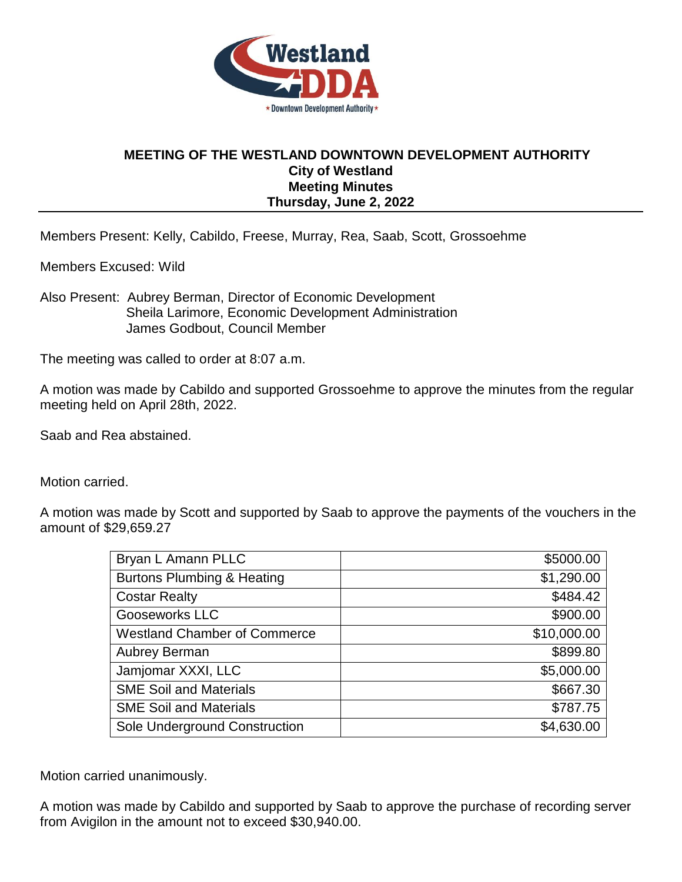

## **MEETING OF THE WESTLAND DOWNTOWN DEVELOPMENT AUTHORITY City of Westland Meeting Minutes Thursday, June 2, 2022**

Members Present: Kelly, Cabildo, Freese, Murray, Rea, Saab, Scott, Grossoehme

Members Excused: Wild

Also Present: Aubrey Berman, Director of Economic Development Sheila Larimore, Economic Development Administration James Godbout, Council Member

The meeting was called to order at 8:07 a.m.

A motion was made by Cabildo and supported Grossoehme to approve the minutes from the regular meeting held on April 28th, 2022.

Saab and Rea abstained.

Motion carried.

A motion was made by Scott and supported by Saab to approve the payments of the vouchers in the amount of \$29,659.27

| Bryan L Amann PLLC                    | \$5000.00   |
|---------------------------------------|-------------|
| <b>Burtons Plumbing &amp; Heating</b> | \$1,290.00  |
| <b>Costar Realty</b>                  | \$484.42    |
| Gooseworks LLC                        | \$900.00    |
| <b>Westland Chamber of Commerce</b>   | \$10,000.00 |
| Aubrey Berman                         | \$899.80    |
| Jamjomar XXXI, LLC                    | \$5,000.00  |
| <b>SME Soil and Materials</b>         | \$667.30    |
| <b>SME Soil and Materials</b>         | \$787.75    |
| Sole Underground Construction         | \$4,630.00  |

Motion carried unanimously.

A motion was made by Cabildo and supported by Saab to approve the purchase of recording server from Avigilon in the amount not to exceed \$30,940.00.